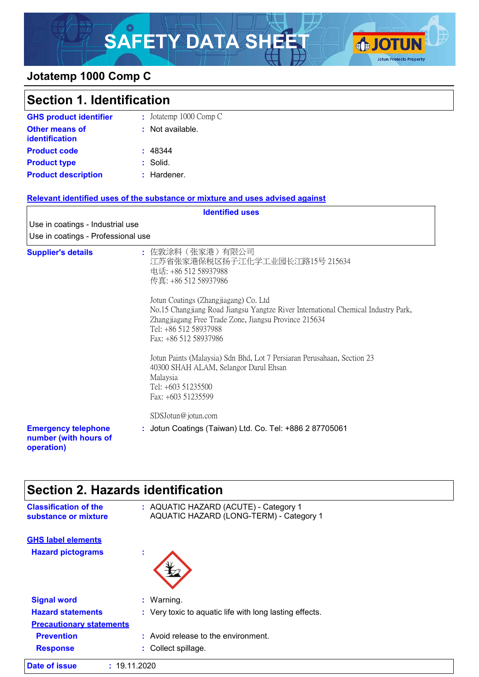# SAFETY DATA SHEET **GJOTUN**



### **Jotatemp 1000 Comp C**

| <b>Section 1. Identification</b>                                  |                                                                                                                                                                                                                                                                                                                                                                                                                                                                |
|-------------------------------------------------------------------|----------------------------------------------------------------------------------------------------------------------------------------------------------------------------------------------------------------------------------------------------------------------------------------------------------------------------------------------------------------------------------------------------------------------------------------------------------------|
| <b>GHS product identifier</b>                                     | : Jotatemp 1000 Comp C                                                                                                                                                                                                                                                                                                                                                                                                                                         |
| <b>Other means of</b><br><b>identification</b>                    | : Not available.                                                                                                                                                                                                                                                                                                                                                                                                                                               |
| <b>Product code</b>                                               | : 48344                                                                                                                                                                                                                                                                                                                                                                                                                                                        |
| <b>Product type</b>                                               | : Solid.                                                                                                                                                                                                                                                                                                                                                                                                                                                       |
| <b>Product description</b>                                        | : Hardener.                                                                                                                                                                                                                                                                                                                                                                                                                                                    |
|                                                                   | Relevant identified uses of the substance or mixture and uses advised against                                                                                                                                                                                                                                                                                                                                                                                  |
|                                                                   | <b>Identified uses</b>                                                                                                                                                                                                                                                                                                                                                                                                                                         |
| Use in coatings - Industrial use                                  |                                                                                                                                                                                                                                                                                                                                                                                                                                                                |
| Use in coatings - Professional use                                |                                                                                                                                                                                                                                                                                                                                                                                                                                                                |
| <b>Supplier's details</b>                                         | : 佐敦涂料(张家港)有限公司<br>江苏省张家港保税区扬子江化学工业园长江路15号 215634<br>电话: +86 512 58937988<br>传真: +86 512 58937986<br>Jotun Coatings (Zhangjiagang) Co. Ltd<br>No.15 Changjiang Road Jiangsu Yangtze River International Chemical Industry Park,<br>Zhangjiagang Free Trade Zone, Jiangsu Province 215634<br>Tel: +86 512 58937988<br>Fax: +86 512 58937986<br>Jotun Paints (Malaysia) Sdn Bhd, Lot 7 Persiaran Perusahaan, Section 23<br>40300 SHAH ALAM, Selangor Darul Ehsan |
|                                                                   | Malaysia<br>Tel: +603 51235500                                                                                                                                                                                                                                                                                                                                                                                                                                 |
|                                                                   | Fax: +603 51235599                                                                                                                                                                                                                                                                                                                                                                                                                                             |
|                                                                   | SDSJotun@jotun.com                                                                                                                                                                                                                                                                                                                                                                                                                                             |
| <b>Emergency telephone</b><br>number (with hours of<br>operation) | : Jotun Coatings (Taiwan) Ltd. Co. Tel: +886 2 87705061                                                                                                                                                                                                                                                                                                                                                                                                        |

# **Section 2. Hazards identification**

| <b>Classification of the</b><br>substance or mixture  | : AQUATIC HAZARD (ACUTE) - Category 1<br>AQUATIC HAZARD (LONG-TERM) - Category 1 |
|-------------------------------------------------------|----------------------------------------------------------------------------------|
| <b>GHS label elements</b><br><b>Hazard pictograms</b> | ×.                                                                               |
| <b>Signal word</b>                                    | : Warning.                                                                       |
| <b>Hazard statements</b>                              |                                                                                  |
|                                                       | : Very toxic to aquatic life with long lasting effects.                          |
| <b>Precautionary statements</b>                       |                                                                                  |
| <b>Prevention</b>                                     | : Avoid release to the environment.                                              |
| <b>Response</b>                                       | : Collect spillage.                                                              |
| <b>Date of issue</b>                                  | : 19.11.2020                                                                     |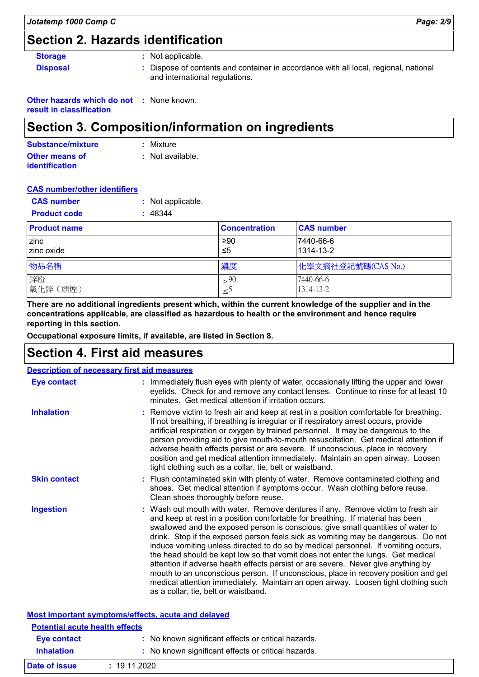# **Section 2. Hazards identification**

|  | stora |   | O |
|--|-------|---|---|
|  | יפור  | м |   |

**Storage :** Not applicable.

**Disposal 1993 :** Dispose of contents and container in accordance with all local, regional, national and international regulations.

**Other hazards which do not :** None known.

**result in classification**

# **Section 3. Composition/information on ingredients**

| Substance/mixture     | : Mixture        |
|-----------------------|------------------|
| Other means of        | : Not available. |
| <b>identification</b> |                  |

#### **CAS number/other identifiers**

| <b>CAS number</b><br><b>Product code</b> | : Not applicable.<br>: 48344 |                      |                        |
|------------------------------------------|------------------------------|----------------------|------------------------|
| <b>Product name</b>                      |                              | <b>Concentration</b> | <b>CAS number</b>      |
| zinc<br>zinc oxide                       |                              | ≥90<br>≤5            | 7440-66-6<br>1314-13-2 |
| 物品名稱                                     |                              | 濃度                   | 化學文摘社登記號碼(CAS No.)     |
| 鋅粉<br> 氧化鋅 (燻煙)                          |                              | > 90<br>دُ≥          | 7440-66-6<br>1314-13-2 |

**There are no additional ingredients present which, within the current knowledge of the supplier and in the concentrations applicable, are classified as hazardous to health or the environment and hence require reporting in this section.**

**Occupational exposure limits, if available, are listed in Section 8.**

# **Section 4. First aid measures**

**Date of issue :** 19.11.2020

| <b>Description of necessary first aid measures</b> |                                                                                                                                                                                                                                                                                                                                                                                                                                                                                                                                                                                                                                                                                                                                                                                                                              |
|----------------------------------------------------|------------------------------------------------------------------------------------------------------------------------------------------------------------------------------------------------------------------------------------------------------------------------------------------------------------------------------------------------------------------------------------------------------------------------------------------------------------------------------------------------------------------------------------------------------------------------------------------------------------------------------------------------------------------------------------------------------------------------------------------------------------------------------------------------------------------------------|
| <b>Eye contact</b>                                 | : Immediately flush eyes with plenty of water, occasionally lifting the upper and lower<br>eyelids. Check for and remove any contact lenses. Continue to rinse for at least 10<br>minutes. Get medical attention if irritation occurs.                                                                                                                                                                                                                                                                                                                                                                                                                                                                                                                                                                                       |
| <b>Inhalation</b>                                  | : Remove victim to fresh air and keep at rest in a position comfortable for breathing.<br>If not breathing, if breathing is irregular or if respiratory arrest occurs, provide<br>artificial respiration or oxygen by trained personnel. It may be dangerous to the<br>person providing aid to give mouth-to-mouth resuscitation. Get medical attention if<br>adverse health effects persist or are severe. If unconscious, place in recovery<br>position and get medical attention immediately. Maintain an open airway. Loosen<br>tight clothing such as a collar, tie, belt or waistband.                                                                                                                                                                                                                                 |
| <b>Skin contact</b>                                | : Flush contaminated skin with plenty of water. Remove contaminated clothing and<br>shoes. Get medical attention if symptoms occur. Wash clothing before reuse.<br>Clean shoes thoroughly before reuse.                                                                                                                                                                                                                                                                                                                                                                                                                                                                                                                                                                                                                      |
| <b>Ingestion</b>                                   | : Wash out mouth with water. Remove dentures if any. Remove victim to fresh air<br>and keep at rest in a position comfortable for breathing. If material has been<br>swallowed and the exposed person is conscious, give small quantities of water to<br>drink. Stop if the exposed person feels sick as vomiting may be dangerous. Do not<br>induce vomiting unless directed to do so by medical personnel. If vomiting occurs,<br>the head should be kept low so that vomit does not enter the lungs. Get medical<br>attention if adverse health effects persist or are severe. Never give anything by<br>mouth to an unconscious person. If unconscious, place in recovery position and get<br>medical attention immediately. Maintain an open airway. Loosen tight clothing such<br>as a collar, tie, belt or waistband. |
|                                                    | Most important symptoms/effects, acute and delayed                                                                                                                                                                                                                                                                                                                                                                                                                                                                                                                                                                                                                                                                                                                                                                           |
| <b>Potential acute health effects</b>              |                                                                                                                                                                                                                                                                                                                                                                                                                                                                                                                                                                                                                                                                                                                                                                                                                              |
| <b>Eye contact</b>                                 | : No known significant effects or critical hazards.                                                                                                                                                                                                                                                                                                                                                                                                                                                                                                                                                                                                                                                                                                                                                                          |
| <b>Inhalation</b>                                  | : No known significant effects or critical hazards.                                                                                                                                                                                                                                                                                                                                                                                                                                                                                                                                                                                                                                                                                                                                                                          |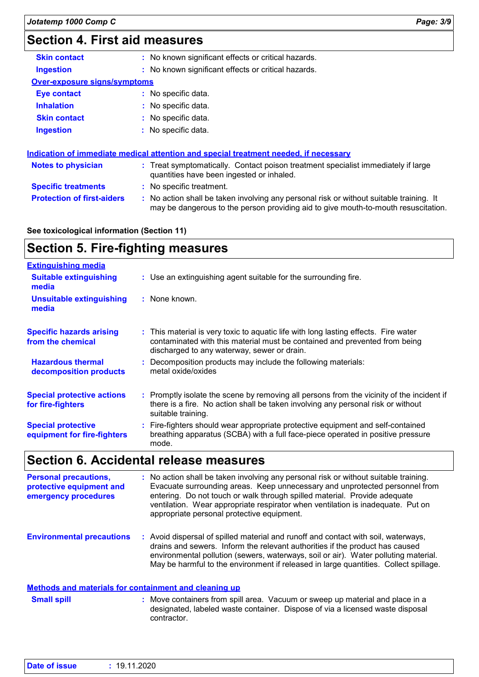# **Section 4. First aid measures**

| <b>Skin contact</b>                 | : No known significant effects or critical hazards.                                                                                                                           |
|-------------------------------------|-------------------------------------------------------------------------------------------------------------------------------------------------------------------------------|
| <b>Ingestion</b>                    | : No known significant effects or critical hazards.                                                                                                                           |
| <b>Over-exposure signs/symptoms</b> |                                                                                                                                                                               |
| <b>Eye contact</b>                  | : No specific data.                                                                                                                                                           |
| <b>Inhalation</b>                   | : No specific data.                                                                                                                                                           |
| <b>Skin contact</b>                 | : No specific data.                                                                                                                                                           |
| <b>Ingestion</b>                    | : No specific data.                                                                                                                                                           |
|                                     | Indication of immediate medical attention and special treatment needed, if necessary                                                                                          |
| <b>Notes to physician</b>           | : Treat symptomatically. Contact poison treatment specialist immediately if large<br>quantities have been ingested or inhaled.                                                |
| <b>Specific treatments</b>          | : No specific treatment.                                                                                                                                                      |
| <b>Protection of first-aiders</b>   | : No action shall be taken involving any personal risk or without suitable training. It<br>may be dangerous to the person providing aid to give mouth-to-mouth resuscitation. |

**See toxicological information (Section 11)**

### **Section 5. Fire-fighting measures**

| <b>Extinguishing media</b>                               |                                                                                                                                                                                                                  |
|----------------------------------------------------------|------------------------------------------------------------------------------------------------------------------------------------------------------------------------------------------------------------------|
| <b>Suitable extinguishing</b><br>media                   | : Use an extinguishing agent suitable for the surrounding fire.                                                                                                                                                  |
| <b>Unsuitable extinguishing</b><br>media                 | : None known.                                                                                                                                                                                                    |
| <b>Specific hazards arising</b><br>from the chemical     | : This material is very toxic to aquatic life with long lasting effects. Fire water<br>contaminated with this material must be contained and prevented from being<br>discharged to any waterway, sewer or drain. |
| <b>Hazardous thermal</b><br>decomposition products       | : Decomposition products may include the following materials:<br>metal oxide/oxides                                                                                                                              |
| <b>Special protective actions</b><br>for fire-fighters   | : Promptly isolate the scene by removing all persons from the vicinity of the incident if<br>there is a fire. No action shall be taken involving any personal risk or without<br>suitable training.              |
| <b>Special protective</b><br>equipment for fire-fighters | : Fire-fighters should wear appropriate protective equipment and self-contained<br>breathing apparatus (SCBA) with a full face-piece operated in positive pressure<br>mode.                                      |

# **Section 6. Accidental release measures**

| <b>Personal precautions,</b><br>protective equipment and<br>emergency procedures | : No action shall be taken involving any personal risk or without suitable training.<br>Evacuate surrounding areas. Keep unnecessary and unprotected personnel from<br>entering. Do not touch or walk through spilled material. Provide adequate<br>ventilation. Wear appropriate respirator when ventilation is inadequate. Put on<br>appropriate personal protective equipment. |
|----------------------------------------------------------------------------------|-----------------------------------------------------------------------------------------------------------------------------------------------------------------------------------------------------------------------------------------------------------------------------------------------------------------------------------------------------------------------------------|
| <b>Environmental precautions</b>                                                 | : Avoid dispersal of spilled material and runoff and contact with soil, waterways,<br>drains and sewers. Inform the relevant authorities if the product has caused<br>environmental pollution (sewers, waterways, soil or air). Water polluting material.<br>May be harmful to the environment if released in large quantities. Collect spillage.                                 |

#### **Methods and materials for containment and cleaning up**

: Move containers from spill area. Vacuum or sweep up material and place in a designated, labeled waste container. Dispose of via a licensed waste disposal contractor. **Small spill :**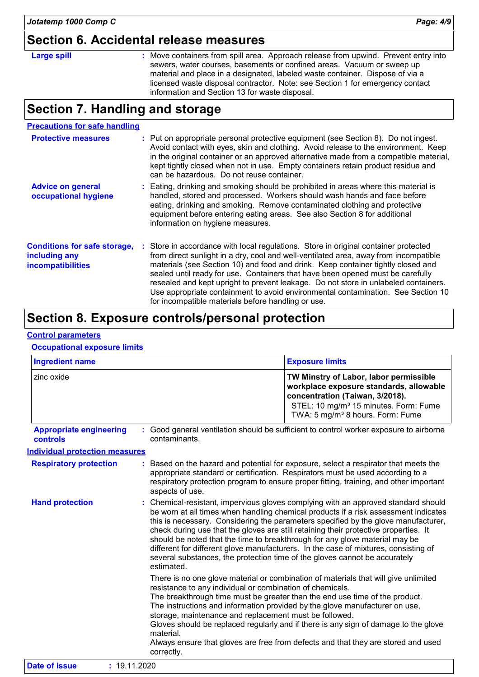# **Section 6. Accidental release measures**

|                    | OUULIUI ULI IUULUULIIUI TULUUUU IIIUUUU I                                                                                                                                                                                                                                                                                                                                         |
|--------------------|-----------------------------------------------------------------------------------------------------------------------------------------------------------------------------------------------------------------------------------------------------------------------------------------------------------------------------------------------------------------------------------|
| <b>Large spill</b> | : Move containers from spill area. Approach release from upwind. Prevent entry into<br>sewers, water courses, basements or confined areas. Vacuum or sweep up<br>material and place in a designated, labeled waste container. Dispose of via a<br>licensed waste disposal contractor. Note: see Section 1 for emergency contact<br>information and Section 13 for waste disposal. |

# **Section 7. Handling and storage**

| <b>Precautions for safe handling</b>                                             |                                                                                                                                                                                                                                                                                                                                                                                                                                                                                                                                                                                    |
|----------------------------------------------------------------------------------|------------------------------------------------------------------------------------------------------------------------------------------------------------------------------------------------------------------------------------------------------------------------------------------------------------------------------------------------------------------------------------------------------------------------------------------------------------------------------------------------------------------------------------------------------------------------------------|
| <b>Protective measures</b>                                                       | : Put on appropriate personal protective equipment (see Section 8). Do not ingest.<br>Avoid contact with eyes, skin and clothing. Avoid release to the environment. Keep<br>in the original container or an approved alternative made from a compatible material,<br>kept tightly closed when not in use. Empty containers retain product residue and<br>can be hazardous. Do not reuse container.                                                                                                                                                                                 |
| <b>Advice on general</b><br>occupational hygiene                                 | : Eating, drinking and smoking should be prohibited in areas where this material is<br>handled, stored and processed. Workers should wash hands and face before<br>eating, drinking and smoking. Remove contaminated clothing and protective<br>equipment before entering eating areas. See also Section 8 for additional<br>information on hygiene measures.                                                                                                                                                                                                                      |
| <b>Conditions for safe storage,</b><br>including any<br><i>incompatibilities</i> | : Store in accordance with local regulations. Store in original container protected<br>from direct sunlight in a dry, cool and well-ventilated area, away from incompatible<br>materials (see Section 10) and food and drink. Keep container tightly closed and<br>sealed until ready for use. Containers that have been opened must be carefully<br>resealed and kept upright to prevent leakage. Do not store in unlabeled containers.<br>Use appropriate containment to avoid environmental contamination. See Section 10<br>for incompatible materials before handling or use. |

# **Section 8. Exposure controls/personal protection**

#### **Control parameters**

#### **Occupational exposure limits**

| <b>Ingredient name</b>                     |                                                                                                                                                | <b>Exposure limits</b>                                                                                                                                                                                                                                                                                                                                                                                                                                                                                                                                                                                    |  |
|--------------------------------------------|------------------------------------------------------------------------------------------------------------------------------------------------|-----------------------------------------------------------------------------------------------------------------------------------------------------------------------------------------------------------------------------------------------------------------------------------------------------------------------------------------------------------------------------------------------------------------------------------------------------------------------------------------------------------------------------------------------------------------------------------------------------------|--|
| zinc oxide                                 |                                                                                                                                                | TW Minstry of Labor, labor permissible<br>workplace exposure standards, allowable<br>concentration (Taiwan, 3/2018).<br>STEL: 10 mg/m <sup>3</sup> 15 minutes. Form: Fume<br>TWA: 5 mg/m <sup>3</sup> 8 hours. Form: Fume                                                                                                                                                                                                                                                                                                                                                                                 |  |
| <b>Appropriate engineering</b><br>controls | contaminants.                                                                                                                                  | Good general ventilation should be sufficient to control worker exposure to airborne                                                                                                                                                                                                                                                                                                                                                                                                                                                                                                                      |  |
| <b>Individual protection measures</b>      |                                                                                                                                                |                                                                                                                                                                                                                                                                                                                                                                                                                                                                                                                                                                                                           |  |
| <b>Respiratory protection</b>              | aspects of use.                                                                                                                                | Based on the hazard and potential for exposure, select a respirator that meets the<br>appropriate standard or certification. Respirators must be used according to a<br>respiratory protection program to ensure proper fitting, training, and other important                                                                                                                                                                                                                                                                                                                                            |  |
| <b>Hand protection</b>                     | estimated.                                                                                                                                     | Chemical-resistant, impervious gloves complying with an approved standard should<br>be worn at all times when handling chemical products if a risk assessment indicates<br>this is necessary. Considering the parameters specified by the glove manufacturer,<br>check during use that the gloves are still retaining their protective properties. It<br>should be noted that the time to breakthrough for any glove material may be<br>different for different glove manufacturers. In the case of mixtures, consisting of<br>several substances, the protection time of the gloves cannot be accurately |  |
|                                            | resistance to any individual or combination of chemicals.<br>storage, maintenance and replacement must be followed.<br>material.<br>correctly. | There is no one glove material or combination of materials that will give unlimited<br>The breakthrough time must be greater than the end use time of the product.<br>The instructions and information provided by the glove manufacturer on use,<br>Gloves should be replaced regularly and if there is any sign of damage to the glove<br>Always ensure that gloves are free from defects and that they are stored and used                                                                                                                                                                             |  |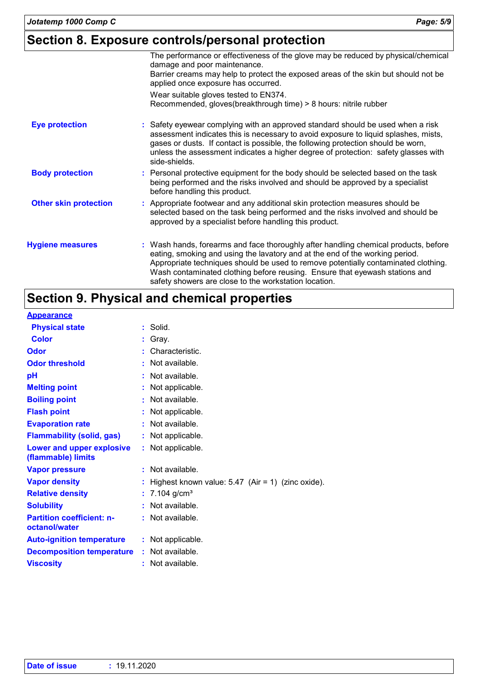### **Section 8. Exposure controls/personal protection**

|                              | The performance or effectiveness of the glove may be reduced by physical/chemical<br>damage and poor maintenance.<br>Barrier creams may help to protect the exposed areas of the skin but should not be<br>applied once exposure has occurred.                                                                                                                    |
|------------------------------|-------------------------------------------------------------------------------------------------------------------------------------------------------------------------------------------------------------------------------------------------------------------------------------------------------------------------------------------------------------------|
|                              | Wear suitable gloves tested to EN374.<br>Recommended, gloves(breakthrough time) > 8 hours: nitrile rubber                                                                                                                                                                                                                                                         |
| <b>Eye protection</b>        | : Safety eyewear complying with an approved standard should be used when a risk<br>assessment indicates this is necessary to avoid exposure to liquid splashes, mists,<br>gases or dusts. If contact is possible, the following protection should be worn,<br>unless the assessment indicates a higher degree of protection: safety glasses with<br>side-shields. |
| <b>Body protection</b>       | : Personal protective equipment for the body should be selected based on the task<br>being performed and the risks involved and should be approved by a specialist<br>before handling this product.                                                                                                                                                               |
| <b>Other skin protection</b> | : Appropriate footwear and any additional skin protection measures should be<br>selected based on the task being performed and the risks involved and should be<br>approved by a specialist before handling this product.                                                                                                                                         |
| <b>Hygiene measures</b>      | : Wash hands, forearms and face thoroughly after handling chemical products, before<br>eating, smoking and using the lavatory and at the end of the working period.<br>Appropriate techniques should be used to remove potentially contaminated clothing.<br>Wash contaminated clothing before reusing. Ensure that eyewash stations and                          |

safety showers are close to the workstation location.

# **Section 9. Physical and chemical properties**

| <b>Appearance</b>                                 |   |                                                     |
|---------------------------------------------------|---|-----------------------------------------------------|
| <b>Physical state</b>                             | ÷ | Solid.                                              |
| Color                                             |   | Gray.                                               |
| <b>Odor</b>                                       |   | Characteristic.                                     |
| <b>Odor threshold</b>                             |   | Not available.                                      |
| рH                                                |   | Not available.                                      |
| <b>Melting point</b>                              |   | Not applicable.                                     |
| <b>Boiling point</b>                              |   | Not available.                                      |
| <b>Flash point</b>                                |   | Not applicable.                                     |
| <b>Evaporation rate</b>                           |   | Not available.                                      |
| <b>Flammability (solid, gas)</b>                  |   | Not applicable.                                     |
| Lower and upper explosive<br>(flammable) limits   |   | : Not applicable.                                   |
| <b>Vapor pressure</b>                             |   | Not available.                                      |
| <b>Vapor density</b>                              |   | Highest known value: $5.47$ (Air = 1) (zinc oxide). |
| <b>Relative density</b>                           |   | 7.104 $g/cm3$                                       |
| <b>Solubility</b>                                 |   | Not available.                                      |
| <b>Partition coefficient: n-</b><br>octanol/water |   | : Not available.                                    |
| <b>Auto-ignition temperature</b>                  |   | : Not applicable.                                   |
| <b>Decomposition temperature</b>                  |   | : Not available.                                    |
| <b>Viscosity</b>                                  |   | Not available.                                      |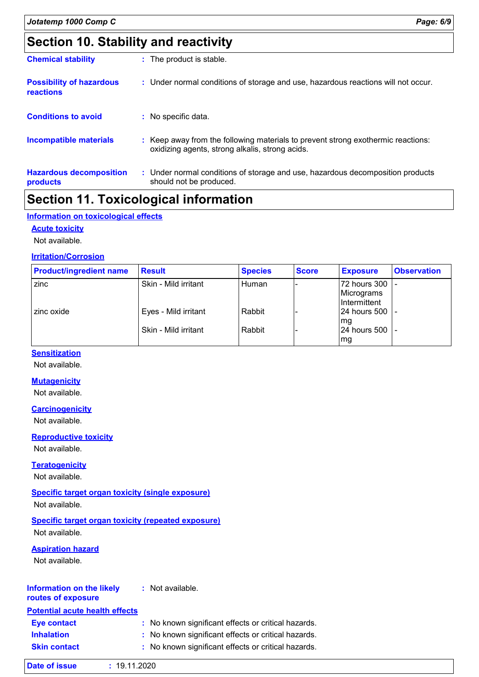# **Section 10. Stability and reactivity**

| <b>Chemical stability</b>                    | : The product is stable.                                                                                                            |
|----------------------------------------------|-------------------------------------------------------------------------------------------------------------------------------------|
| <b>Possibility of hazardous</b><br>reactions | : Under normal conditions of storage and use, hazardous reactions will not occur.                                                   |
| <b>Conditions to avoid</b>                   | : No specific data.                                                                                                                 |
| <b>Incompatible materials</b>                | : Keep away from the following materials to prevent strong exothermic reactions:<br>oxidizing agents, strong alkalis, strong acids. |
| <b>Hazardous decomposition</b><br>products   | : Under normal conditions of storage and use, hazardous decomposition products<br>should not be produced.                           |
|                                              | .<br>$\blacksquare$                                                                                                                 |

### **Section 11. Toxicological information**

#### **Information on toxicological effects**

#### **Acute toxicity**

Not available.

#### **Irritation/Corrosion**

| <b>Product/ingredient name</b> | <b>Result</b>        | <b>Species</b> | <b>Score</b> | <b>Exposure</b>                               | <b>Observation</b> |
|--------------------------------|----------------------|----------------|--------------|-----------------------------------------------|--------------------|
| zinc                           | Skin - Mild irritant | Human          |              | 72 hours 300 L-<br>Micrograms<br>Intermittent |                    |
| zinc oxide                     | Eyes - Mild irritant | Rabbit         |              | 24 hours 500   -<br>mg                        |                    |
|                                | Skin - Mild irritant | Rabbit         |              | 24 hours 500 -<br>mg                          |                    |

#### **Sensitization**

Not available.

#### **Mutagenicity**

Not available.

#### **Carcinogenicity**

Not available.

#### **Reproductive toxicity**

Not available.

#### **Teratogenicity**

Not available.

#### **Specific target organ toxicity (single exposure)**

Not available.

#### **Specific target organ toxicity (repeated exposure)**

Not available.

#### **Aspiration hazard**

Not available.

#### **Information on the likely routes of exposure :** Not available.

### **Potential acute health effects**

| <b>Eve contact</b>  | : No known significant effects or critical hazards. |
|---------------------|-----------------------------------------------------|
| <b>Inhalation</b>   | : No known significant effects or critical hazards. |
| <b>Skin contact</b> | : No known significant effects or critical hazards. |

| Date of issue | : 19.11.2020 |
|---------------|--------------|
|---------------|--------------|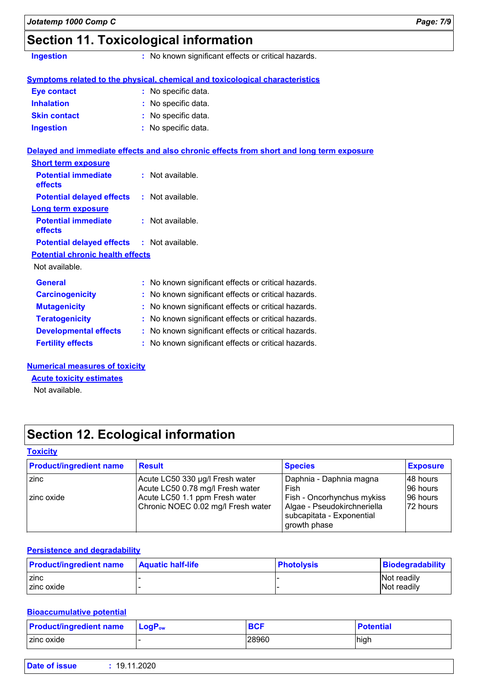# **Section 11. Toxicological information**

**Ingestion :** No known significant effects or critical hazards.

|                     | <b>Symptoms related to the physical, chemical and toxicological characteristics</b> |
|---------------------|-------------------------------------------------------------------------------------|
| <b>Eye contact</b>  | : No specific data.                                                                 |
| <b>Inhalation</b>   | : No specific data.                                                                 |
| <b>Skin contact</b> | : No specific data.                                                                 |
| <b>Ingestion</b>    | : No specific data.                                                                 |

#### **Delayed and immediate effects and also chronic effects from short and long term exposure**

| $:$ Not available.                                  |
|-----------------------------------------------------|
| $:$ Not available.                                  |
|                                                     |
| $:$ Not available.                                  |
| <b>Potential delayed effects : Not available.</b>   |
| <b>Potential chronic health effects</b>             |
|                                                     |
| : No known significant effects or critical hazards. |
| No known significant effects or critical hazards.   |
| : No known significant effects or critical hazards. |
| : No known significant effects or critical hazards. |
| No known significant effects or critical hazards.   |
| : No known significant effects or critical hazards. |
|                                                     |

#### **Numerical measures of toxicity**

Not available. **Acute toxicity estimates**

# **Section 12. Ecological information**

#### **Toxicity**

| <b>Product/ingredient name</b> | <b>Result</b>                      | <b>Species</b>                                                           | <b>Exposure</b> |
|--------------------------------|------------------------------------|--------------------------------------------------------------------------|-----------------|
| zinc                           | Acute LC50 330 µg/l Fresh water    | Daphnia - Daphnia magna                                                  | 148 hours       |
|                                | Acute LC50 0.78 mg/l Fresh water   | Fish                                                                     | I96 hours       |
| zinc oxide                     | Acute LC50 1.1 ppm Fresh water     | Fish - Oncorhynchus mykiss                                               | 96 hours        |
|                                | Chronic NOEC 0.02 mg/l Fresh water | Algae - Pseudokirchneriella<br>subcapitata - Exponential<br>growth phase | 72 hours        |

#### **Persistence and degradability**

| <b>Product/ingredient name</b> | <b>Aquatic half-life</b> | <b>Photolysis</b> | Biodegradability |
|--------------------------------|--------------------------|-------------------|------------------|
| zinc                           |                          |                   | Not readily      |
| zinc oxide                     |                          |                   | Not readily      |

#### **Bioaccumulative potential**

| <b>Product/ingredient name</b> | $\blacksquare$ Loq $\mathsf{P}_{\mathsf{ow}}$ | <b>BCF</b> | <b>Potential</b> |
|--------------------------------|-----------------------------------------------|------------|------------------|
| zinc oxide                     |                                               | 28960      | high             |

| Date of issue<br>1.2020<br>19. |  |
|--------------------------------|--|
|--------------------------------|--|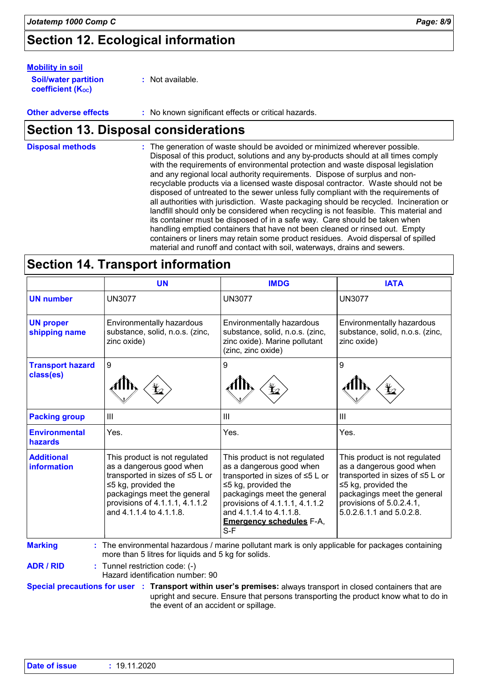# **Section 12. Ecological information**

#### **Mobility in soil**

| <b>Soil/water partition</b> | : Not available. |
|-----------------------------|------------------|
| <b>coefficient (Koc)</b>    |                  |

**Other adverse effects :** No known significant effects or critical hazards.

### **Section 13. Disposal considerations**

The generation of waste should be avoided or minimized wherever possible. Disposal of this product, solutions and any by-products should at all times comply with the requirements of environmental protection and waste disposal legislation and any regional local authority requirements. Dispose of surplus and nonrecyclable products via a licensed waste disposal contractor. Waste should not be disposed of untreated to the sewer unless fully compliant with the requirements of all authorities with jurisdiction. Waste packaging should be recycled. Incineration or landfill should only be considered when recycling is not feasible. This material and its container must be disposed of in a safe way. Care should be taken when handling emptied containers that have not been cleaned or rinsed out. Empty containers or liners may retain some product residues. Avoid dispersal of spilled material and runoff and contact with soil, waterways, drains and sewers. **Disposal methods :**

### **Section 14. Transport information**

|                                      | <b>UN</b>                                                                                                                                                                                                             | <b>IMDG</b>                                                                                                                                                                                                                                                       | <b>IATA</b>                                                                                                                                                                                                |
|--------------------------------------|-----------------------------------------------------------------------------------------------------------------------------------------------------------------------------------------------------------------------|-------------------------------------------------------------------------------------------------------------------------------------------------------------------------------------------------------------------------------------------------------------------|------------------------------------------------------------------------------------------------------------------------------------------------------------------------------------------------------------|
| <b>UN number</b>                     | <b>UN3077</b>                                                                                                                                                                                                         | <b>UN3077</b>                                                                                                                                                                                                                                                     | <b>UN3077</b>                                                                                                                                                                                              |
| <b>UN proper</b><br>shipping name    | Environmentally hazardous<br>substance, solid, n.o.s. (zinc,<br>zinc oxide)                                                                                                                                           | Environmentally hazardous<br>substance, solid, n.o.s. (zinc,<br>zinc oxide). Marine pollutant<br>(zinc, zinc oxide)                                                                                                                                               | Environmentally hazardous<br>substance, solid, n.o.s. (zinc,<br>zinc oxide)                                                                                                                                |
| <b>Transport hazard</b><br>class(es) | $\boldsymbol{9}$                                                                                                                                                                                                      | 9                                                                                                                                                                                                                                                                 | 9                                                                                                                                                                                                          |
| <b>Packing group</b>                 | $\mathop{\rm III}$                                                                                                                                                                                                    | III                                                                                                                                                                                                                                                               | III                                                                                                                                                                                                        |
| <b>Environmental</b><br>hazards      | Yes.                                                                                                                                                                                                                  | Yes.                                                                                                                                                                                                                                                              | Yes.                                                                                                                                                                                                       |
| <b>Additional</b><br>information     | This product is not regulated<br>as a dangerous good when<br>transported in sizes of ≤5 L or<br>$\leq$ 5 kg, provided the<br>packagings meet the general<br>provisions of 4.1.1.1, 4.1.1.2<br>and 4.1.1.4 to 4.1.1.8. | This product is not regulated<br>as a dangerous good when<br>transported in sizes of ≤5 L or<br>$\leq$ 5 kg, provided the<br>packagings meet the general<br>provisions of 4.1.1.1, 4.1.1.2<br>and 4.1.1.4 to 4.1.1.8.<br><b>Emergency schedules F-A,</b><br>$S-F$ | This product is not regulated<br>as a dangerous good when<br>transported in sizes of ≤5 L or<br>≤5 kg, provided the<br>packagings meet the general<br>provisions of 5.0.2.4.1,<br>5.0.2.6.1.1 and 5.0.2.8. |
| <b>Marking</b>                       | : The environmental hazardous / marine pollutant mark is only applicable for packages containing<br>more than 5 litres for liquids and 5 kg for solids.                                                               |                                                                                                                                                                                                                                                                   |                                                                                                                                                                                                            |
| <b>ADR / RID</b>                     | : Tunnel restriction code: (-)<br>Hazard identification number: 90                                                                                                                                                    |                                                                                                                                                                                                                                                                   |                                                                                                                                                                                                            |

upright and secure. Ensure that persons transporting the product know what to do in the event of an accident or spillage.